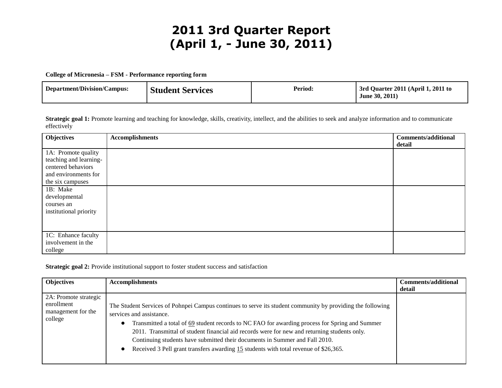# **2011 3rd Quarter Report (April 1, - June 30, 2011)**

**College of Micronesia – FSM - Performance reporting form**

| June 30, 2011) | Department/Division/Campus: | <b>Student Services</b> | Period: | 3rd Quarter 2011 (April 1, 2011 to |
|----------------|-----------------------------|-------------------------|---------|------------------------------------|
|----------------|-----------------------------|-------------------------|---------|------------------------------------|

Strategic goal 1: Promote learning and teaching for knowledge, skills, creativity, intellect, and the abilities to seek and analyze information and to communicate effectively

| <b>Objectives</b>      | <b>Accomplishments</b> | <b>Comments/additional</b> |
|------------------------|------------------------|----------------------------|
|                        |                        | detail                     |
| 1A: Promote quality    |                        |                            |
| teaching and learning- |                        |                            |
| centered behaviors     |                        |                            |
| and environments for   |                        |                            |
| the six campuses       |                        |                            |
| 1B: Make               |                        |                            |
| developmental          |                        |                            |
| courses an             |                        |                            |
| institutional priority |                        |                            |
|                        |                        |                            |
|                        |                        |                            |
| 1C: Enhance faculty    |                        |                            |
| involvement in the     |                        |                            |
| college                |                        |                            |

**Strategic goal 2:** Provide institutional support to foster student success and satisfaction

| <b>Objectives</b>                                                    | <b>Accomplishments</b>                                                                                                                                                                                                                                                                                                                                                                                                                                                                                                       | <b>Comments/additional</b><br>detail |
|----------------------------------------------------------------------|------------------------------------------------------------------------------------------------------------------------------------------------------------------------------------------------------------------------------------------------------------------------------------------------------------------------------------------------------------------------------------------------------------------------------------------------------------------------------------------------------------------------------|--------------------------------------|
| 2A: Promote strategic<br>enrollment<br>management for the<br>college | The Student Services of Pohnpei Campus continues to serve its student community by providing the following<br>services and assistance.<br>Transmitted a total of 69 student records to NC FAO for awarding process for Spring and Summer<br>2011. Transmittal of student financial aid records were for new and returning students only.<br>Continuing students have submitted their documents in Summer and Fall 2010.<br>Received 3 Pell grant transfers awarding 15 students with total revenue of \$26,365.<br>$\bullet$ |                                      |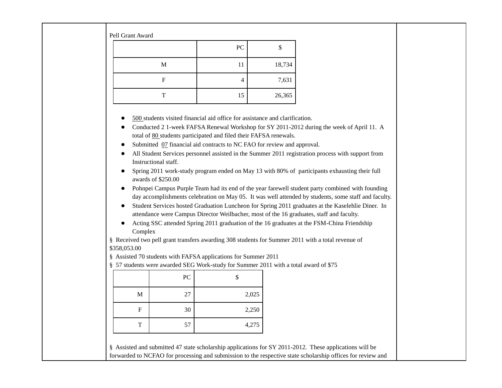| Pell Grant Award                                                                                                                                                                                                                                                                                                                                                                                                                                                                                                                                                                                                                                                                                                                                                                                                                                                                                                                                                                                                                                                                                                                                                                                                                                                                                                                                                                               |                |        |  |  |  |  |  |
|------------------------------------------------------------------------------------------------------------------------------------------------------------------------------------------------------------------------------------------------------------------------------------------------------------------------------------------------------------------------------------------------------------------------------------------------------------------------------------------------------------------------------------------------------------------------------------------------------------------------------------------------------------------------------------------------------------------------------------------------------------------------------------------------------------------------------------------------------------------------------------------------------------------------------------------------------------------------------------------------------------------------------------------------------------------------------------------------------------------------------------------------------------------------------------------------------------------------------------------------------------------------------------------------------------------------------------------------------------------------------------------------|----------------|--------|--|--|--|--|--|
|                                                                                                                                                                                                                                                                                                                                                                                                                                                                                                                                                                                                                                                                                                                                                                                                                                                                                                                                                                                                                                                                                                                                                                                                                                                                                                                                                                                                | PC             | \$     |  |  |  |  |  |
| $\mathbf M$                                                                                                                                                                                                                                                                                                                                                                                                                                                                                                                                                                                                                                                                                                                                                                                                                                                                                                                                                                                                                                                                                                                                                                                                                                                                                                                                                                                    | 11             | 18,734 |  |  |  |  |  |
| ${\bf F}$                                                                                                                                                                                                                                                                                                                                                                                                                                                                                                                                                                                                                                                                                                                                                                                                                                                                                                                                                                                                                                                                                                                                                                                                                                                                                                                                                                                      | $\overline{4}$ | 7,631  |  |  |  |  |  |
| T                                                                                                                                                                                                                                                                                                                                                                                                                                                                                                                                                                                                                                                                                                                                                                                                                                                                                                                                                                                                                                                                                                                                                                                                                                                                                                                                                                                              | 15             | 26,365 |  |  |  |  |  |
| 500 students visited financial aid office for assistance and clarification.<br>Conducted 2 1-week FAFSA Renewal Workshop for SY 2011-2012 during the week of April 11. A<br>total of 80 students participated and filed their FAFSA renewals.<br>Submitted 07 financial aid contracts to NC FAO for review and approval.<br>All Student Services personnel assisted in the Summer 2011 registration process with support from<br>Instructional staff.<br>Spring 2011 work-study program ended on May 13 with 80% of participants exhausting their full<br>awards of \$250.00<br>Pohnpei Campus Purple Team had its end of the year farewell student party combined with founding<br>$\bullet$<br>day accomplishments celebration on May 05. It was well attended by students, some staff and faculty.<br>Student Services hosted Graduation Luncheon for Spring 2011 graduates at the Kaselehlie Diner. In<br>attendance were Campus Director Weilbacher, most of the 16 graduates, staff and faculty.<br>Acting SSC attended Spring 2011 graduation of the 16 graduates at the FSM-China Friendship<br>Complex<br>§ Received two pell grant transfers awarding 308 students for Summer 2011 with a total revenue of<br>\$358,053.00<br>§ Assisted 70 students with FAFSA applications for Summer 2011<br>§ 57 students were awarded SEG Work-study for Summer 2011 with a total award of \$75 |                |        |  |  |  |  |  |

|             | ${\rm P}{\bf C}$ |       |
|-------------|------------------|-------|
| $\mathbf M$ | 27               | 2,025 |
| F           | 30               | 2,250 |
| T           | 57               | 4,275 |

§ Assisted and submitted 47 state scholarship applications for SY 2011-2012. These applications will be forwarded to NCFAO for processing and submission to the respective state scholarship offices for review and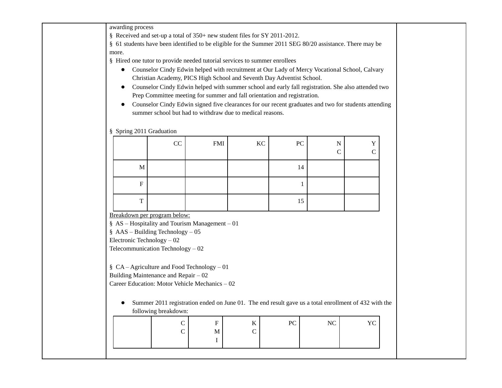awarding process

§ Received and set-up a total of 350+ new student files for SY 2011-2012.

§ 61 students have been identified to be eligible for the Summer 2011 SEG 80/20 assistance. There may be more.

§ Hired one tutor to provide needed tutorial services to summer enrollees

- Counselor Cindy Edwin helped with recruitment at Our Lady of Mercy Vocational School, Calvary Christian Academy, PICS High School and Seventh Day Adventist School.
- Counselor Cindy Edwin helped with summer school and early fall registration. She also attended two Prep Committee meeting for summer and fall orientation and registration.
- Counselor Cindy Edwin signed five clearances for our recent graduates and two for students attending summer school but had to withdraw due to medical reasons.

#### § Spring 2011 Graduation

|                           | $\rm CC$ | <b>FMI</b> | KC | ${\rm P}{\bf C}$ | N<br>C | X7<br>∼ |
|---------------------------|----------|------------|----|------------------|--------|---------|
| $\mathbf M$               |          |            |    | 14               |        |         |
| $\boldsymbol{\mathrm{F}}$ |          |            |    |                  |        |         |
| $\mathbf{r}$<br>л.        |          |            |    | 15               |        |         |

Breakdown per program below:

§ AS – Hospitality and Tourism Management – 01

§ AAS – Building Technology – 05

Electronic Technology – 02

Telecommunication Technology – 02

§ CA – Agriculture and Food Technology – 01

Building Maintenance and Repair – 02

Career Education: Motor Vehicle Mechanics – 02

● Summer 2011 registration ended on June 01. The end result gave us a total enrollment of 432 with the following breakdown:

|  | . . | П. | $\mathbf{v}$ | D.C | $\mathbf{X}$<br>◝ |  |
|--|-----|----|--------------|-----|-------------------|--|
|  | ◡   | М  |              |     |                   |  |
|  |     |    |              |     |                   |  |
|  |     |    |              |     |                   |  |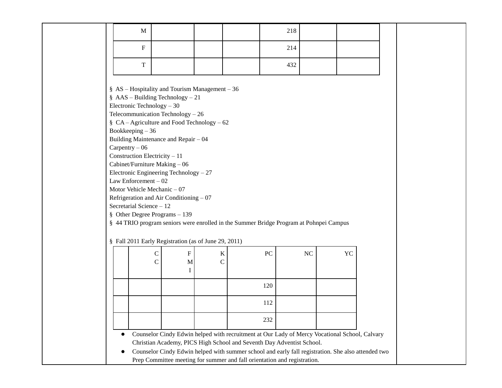|                                                                                                                                                                                                                                                                                                                                                                                                                                                                                                                                                                                                                                      | $\mathbf{M}$               |                |                          |                                                                                        | 218                                                                      |    |                                                                                                                                                                                                     |  |  |
|--------------------------------------------------------------------------------------------------------------------------------------------------------------------------------------------------------------------------------------------------------------------------------------------------------------------------------------------------------------------------------------------------------------------------------------------------------------------------------------------------------------------------------------------------------------------------------------------------------------------------------------|----------------------------|----------------|--------------------------|----------------------------------------------------------------------------------------|--------------------------------------------------------------------------|----|-----------------------------------------------------------------------------------------------------------------------------------------------------------------------------------------------------|--|--|
|                                                                                                                                                                                                                                                                                                                                                                                                                                                                                                                                                                                                                                      | ${\bf F}$                  |                |                          |                                                                                        | 214                                                                      |    |                                                                                                                                                                                                     |  |  |
|                                                                                                                                                                                                                                                                                                                                                                                                                                                                                                                                                                                                                                      | $\mathbf T$                |                |                          |                                                                                        | 432                                                                      |    |                                                                                                                                                                                                     |  |  |
| § $AS$ – Hospitality and Tourism Management – 36<br>$$AAS - Building Technology - 21$<br>Electronic Technology $-30$<br>Telecommunication Technology $-26$<br>§ $CA - Agriculture$ and Food Technology - 62<br>Bookkeeping $-36$<br>Building Maintenance and Repair - 04<br>$Carpentry - 06$<br>Construction Electricity - 11<br>Cabinet/Furniture Making $-06$<br>Electronic Engineering Technology - 27<br>Law Enforcement $-02$<br>Motor Vehicle Mechanic $-07$<br>Refrigeration and Air Conditioning $-07$<br>Secretarial Science - 12<br>§ Other Degree Programs $-139$<br>§ Fall 2011 Early Registration (as of June 29, 2011) |                            |                |                          | § 44 TRIO program seniors were enrolled in the Summer Bridge Program at Pohnpei Campus |                                                                          |    |                                                                                                                                                                                                     |  |  |
|                                                                                                                                                                                                                                                                                                                                                                                                                                                                                                                                                                                                                                      | ${\bf C}$<br>$\mathcal{C}$ | ${\bf F}$<br>M | $\rm K$<br>$\mathcal{C}$ |                                                                                        | PC                                                                       | NC | <b>YC</b>                                                                                                                                                                                           |  |  |
|                                                                                                                                                                                                                                                                                                                                                                                                                                                                                                                                                                                                                                      |                            | I              |                          |                                                                                        |                                                                          |    |                                                                                                                                                                                                     |  |  |
|                                                                                                                                                                                                                                                                                                                                                                                                                                                                                                                                                                                                                                      |                            |                |                          |                                                                                        | 120                                                                      |    |                                                                                                                                                                                                     |  |  |
|                                                                                                                                                                                                                                                                                                                                                                                                                                                                                                                                                                                                                                      |                            |                |                          |                                                                                        | 112                                                                      |    |                                                                                                                                                                                                     |  |  |
|                                                                                                                                                                                                                                                                                                                                                                                                                                                                                                                                                                                                                                      |                            |                |                          |                                                                                        | 232                                                                      |    |                                                                                                                                                                                                     |  |  |
| $\bullet$                                                                                                                                                                                                                                                                                                                                                                                                                                                                                                                                                                                                                            |                            |                |                          | Christian Academy, PICS High School and Seventh Day Adventist School.                  | Prep Committee meeting for summer and fall orientation and registration. |    | Counselor Cindy Edwin helped with recruitment at Our Lady of Mercy Vocational School, Calvary<br>Counselor Cindy Edwin helped with summer school and early fall registration. She also attended two |  |  |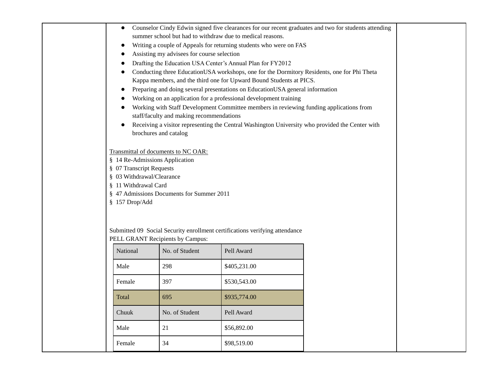| $\bullet$                      |                                            |                                                                                                 | Counselor Cindy Edwin signed five clearances for our recent graduates and two for students attending |  |
|--------------------------------|--------------------------------------------|-------------------------------------------------------------------------------------------------|------------------------------------------------------------------------------------------------------|--|
|                                |                                            | summer school but had to withdraw due to medical reasons.                                       |                                                                                                      |  |
| $\bullet$                      |                                            | Writing a couple of Appeals for returning students who were on FAS                              |                                                                                                      |  |
|                                | Assisting my advisees for course selection |                                                                                                 |                                                                                                      |  |
|                                |                                            | Drafting the Education USA Center's Annual Plan for FY2012                                      |                                                                                                      |  |
|                                |                                            | Conducting three EducationUSA workshops, one for the Dormitory Residents, one for Phi Theta     |                                                                                                      |  |
|                                |                                            | Kappa members, and the third one for Upward Bound Students at PICS.                             |                                                                                                      |  |
|                                |                                            | Preparing and doing several presentations on EducationUSA general information                   |                                                                                                      |  |
|                                |                                            | Working on an application for a professional development training                               |                                                                                                      |  |
|                                | staff/faculty and making recommendations   | Working with Staff Development Committee members in reviewing funding applications from         |                                                                                                      |  |
|                                |                                            | Receiving a visitor representing the Central Washington University who provided the Center with |                                                                                                      |  |
|                                | brochures and catalog                      |                                                                                                 |                                                                                                      |  |
|                                | Transmittal of documents to NC OAR:        |                                                                                                 |                                                                                                      |  |
| § 14 Re-Admissions Application |                                            |                                                                                                 |                                                                                                      |  |
| § 07 Transcript Requests       |                                            |                                                                                                 |                                                                                                      |  |
| § 03 Withdrawal/Clearance      |                                            |                                                                                                 |                                                                                                      |  |
| § 11 Withdrawal Card           | § 47 Admissions Documents for Summer 2011  |                                                                                                 |                                                                                                      |  |
| § 157 Drop/Add                 |                                            |                                                                                                 |                                                                                                      |  |
|                                |                                            |                                                                                                 |                                                                                                      |  |
|                                |                                            |                                                                                                 |                                                                                                      |  |
|                                |                                            | Submitted 09 Social Security enrollment certifications verifying attendance                     |                                                                                                      |  |
|                                | PELL GRANT Recipients by Campus:           |                                                                                                 |                                                                                                      |  |
| National                       | No. of Student                             | Pell Award                                                                                      |                                                                                                      |  |
| Male                           | 298                                        | \$405,231.00                                                                                    |                                                                                                      |  |
| Female                         | 397                                        | \$530,543.00                                                                                    |                                                                                                      |  |
| Total                          | 695                                        | \$935,774.00                                                                                    |                                                                                                      |  |
| Chuuk                          | No. of Student                             | Pell Award                                                                                      |                                                                                                      |  |
| Male                           | 21                                         | \$56,892.00                                                                                     |                                                                                                      |  |
| Female                         | 34                                         | \$98,519.00                                                                                     |                                                                                                      |  |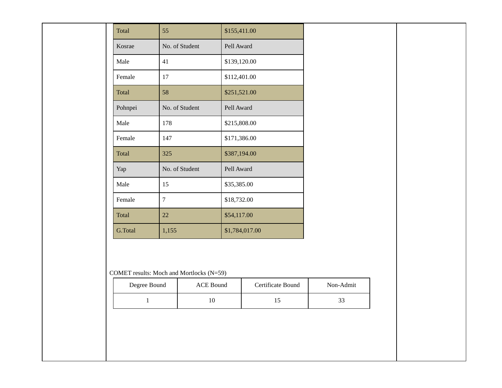| Total        | 55                                                    | \$155,411.00   |                   |           |  |
|--------------|-------------------------------------------------------|----------------|-------------------|-----------|--|
| Kosrae       | No. of Student                                        | Pell Award     |                   |           |  |
| Male         | 41                                                    | \$139,120.00   |                   |           |  |
| Female       | 17                                                    | \$112,401.00   |                   |           |  |
| Total        | 58                                                    | \$251,521.00   |                   |           |  |
| Pohnpei      | No. of Student                                        | Pell Award     |                   |           |  |
| Male         | 178                                                   | \$215,808.00   |                   |           |  |
| Female       | 147                                                   | \$171,386.00   |                   |           |  |
| Total        | 325                                                   | \$387,194.00   |                   |           |  |
| Yap          | No. of Student                                        | Pell Award     |                   |           |  |
| Male         | 15                                                    | \$35,385.00    |                   |           |  |
| Female       | $\boldsymbol{7}$                                      | \$18,732.00    |                   |           |  |
| Total        | 22                                                    | \$54,117.00    |                   |           |  |
| G.Total      | 1,155                                                 | \$1,784,017.00 |                   |           |  |
|              |                                                       |                |                   |           |  |
| Degree Bound | COMET results: Moch and Mortlocks (N=59)<br>ACE Bound |                | Certificate Bound | Non-Admit |  |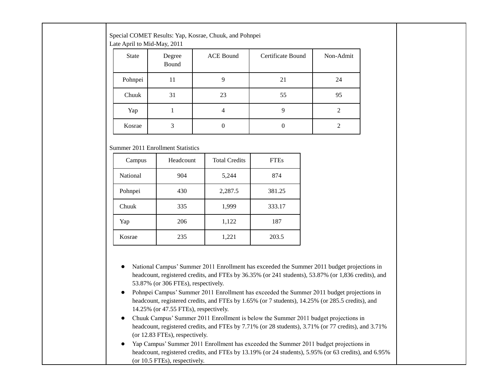| Special COMET Results: Yap, Kosrae, Chuuk, and Pohnpei |  |
|--------------------------------------------------------|--|
| .                                                      |  |

Late April to Mid-May, 2011

| <b>State</b> | Degree<br>Bound | <b>ACE Bound</b> | Certificate Bound | Non-Admit |
|--------------|-----------------|------------------|-------------------|-----------|
| Pohnpei      | 11              |                  | 21                | 24        |
| Chuuk        | 31              | 23               | 55                | 95        |
| Yap          |                 | 4                |                   | 2         |
| Kosrae       | 3               |                  |                   |           |

#### Summer 2011 Enrollment Statistics

| Campus                 | Headcount | <b>Total Credits</b> | <b>FTEs</b> |  |
|------------------------|-----------|----------------------|-------------|--|
| <b>National</b><br>904 |           | 5,244                | 874         |  |
| Pohnpei                | 430       | 2,287.5              | 381.25      |  |
| Chuuk                  | 335       | 1,999                | 333.17      |  |
| Yap                    | 206       |                      | 187         |  |
| Kosrae                 | 235       | 1,221                | 203.5       |  |

- National Campus' Summer 2011 Enrollment has exceeded the Summer 2011 budget projections in headcount, registered credits, and FTEs by 36.35% (or 241 students), 53.87% (or 1,836 credits), and 53.87% (or 306 FTEs), respectively.
- Pohnpei Campus' Summer 2011 Enrollment has exceeded the Summer 2011 budget projections in headcount, registered credits, and FTEs by 1.65% (or 7 students), 14.25% (or 285.5 credits), and 14.25% (or 47.55 FTEs), respectively.
- Chuuk Campus' Summer 2011 Enrollment is below the Summer 2011 budget projections in headcount, registered credits, and FTEs by 7.71% (or 28 students), 3.71% (or 77 credits), and 3.71% (or 12.83 FTEs), respectively.
- Yap Campus' Summer 2011 Enrollment has exceeded the Summer 2011 budget projections in headcount, registered credits, and FTEs by 13.19% (or 24 students), 5.95% (or 63 credits), and 6.95% (or 10.5 FTEs), respectively.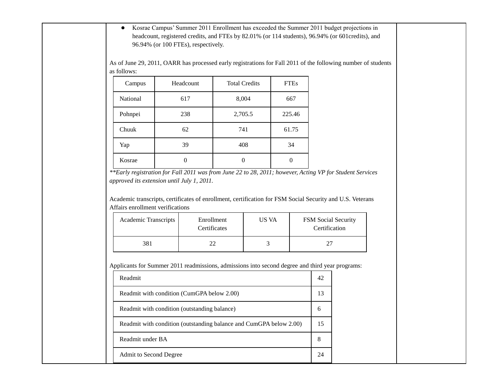● Kosrae Campus' Summer 2011 Enrollment has exceeded the Summer 2011 budget projections in headcount, registered credits, and FTEs by 82.01% (or 114 students), 96.94% (or 601credits), and 96.94% (or 100 FTEs), respectively.

As of June 29, 2011, OARR has processed early registrations for Fall 2011 of the following number of students as follows:

| Campus   | Headcount | <b>Total Credits</b> | <b>FTEs</b> |
|----------|-----------|----------------------|-------------|
| National | 617       | 8,004                | 667         |
| Pohnpei  | 238       | 2,705.5              | 225.46      |
| Chuuk    | 62        | 741                  | 61.75       |
| Yap      | 39        | 408                  | 34          |
| Kosrae   | O         | 0                    |             |

*<sup>\*\*</sup>Early registration for Fall 2011 was from June 22 to 28, 2011; however, Acting VP for Student Services approved its extension until July 1, 2011.*

Academic transcripts, certificates of enrollment, certification for FSM Social Security and U.S. Veterans Affairs enrollment verifications

| <b>Academic Transcripts</b> | Enrollment<br>Certificates | US VA | <b>FSM</b> Social Security<br>Certification |
|-----------------------------|----------------------------|-------|---------------------------------------------|
| 381                         |                            |       |                                             |

Applicants for Summer 2011 readmissions, admissions into second degree and third year programs:

| Readmit                                                            | 42 |  |
|--------------------------------------------------------------------|----|--|
| Readmit with condition (CumGPA below 2.00)                         | 13 |  |
| Readmit with condition (outstanding balance)                       | 6  |  |
| Readmit with condition (outstanding balance and CumGPA below 2.00) | 15 |  |
| Readmit under BA                                                   | 8  |  |
| Admit to Second Degree                                             | 24 |  |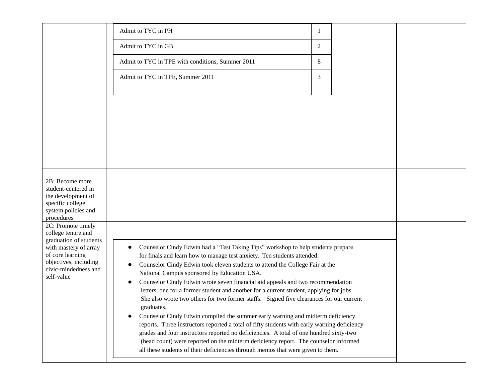|                                              | Admit to TYC in PH                                                                                                                                                                     |   |  |
|----------------------------------------------|----------------------------------------------------------------------------------------------------------------------------------------------------------------------------------------|---|--|
|                                              | Admit to TYC in GB                                                                                                                                                                     | 2 |  |
|                                              | Admit to TYC in TPE with conditions, Summer 2011                                                                                                                                       | 8 |  |
|                                              | Admit to TYC in TPE, Summer 2011                                                                                                                                                       | 3 |  |
|                                              |                                                                                                                                                                                        |   |  |
|                                              |                                                                                                                                                                                        |   |  |
|                                              |                                                                                                                                                                                        |   |  |
|                                              |                                                                                                                                                                                        |   |  |
|                                              |                                                                                                                                                                                        |   |  |
|                                              |                                                                                                                                                                                        |   |  |
|                                              |                                                                                                                                                                                        |   |  |
| 2B: Become more                              |                                                                                                                                                                                        |   |  |
| student-centered in<br>the development of    |                                                                                                                                                                                        |   |  |
| specific college<br>system policies and      |                                                                                                                                                                                        |   |  |
| procedures<br>2C: Promote timely             |                                                                                                                                                                                        |   |  |
| college tenure and<br>graduation of students |                                                                                                                                                                                        |   |  |
| with mastery of array                        | Counselor Cindy Edwin had a "Test Taking Tips" workshop to help students prepare                                                                                                       |   |  |
| of core learning<br>objectives, including    | for finals and learn how to manage test anxiety. Ten students attended.<br>Counselor Cindy Edwin took eleven students to attend the College Fair at the                                |   |  |
| civic-mindedness and<br>self-value           | National Campus sponsored by Education USA.                                                                                                                                            |   |  |
|                                              | Counselor Cindy Edwin wrote seven financial aid appeals and two recommendation<br>$\bullet$<br>letters, one for a former student and another for a current student, applying for jobs. |   |  |
|                                              | She also wrote two others for two former staffs. Signed five clearances for our current<br>graduates.                                                                                  |   |  |
|                                              | Counselor Cindy Edwin compiled the summer early warning and midterm deficiency                                                                                                         |   |  |
|                                              | reports. Three instructors reported a total of fifty students with early warning deficiency<br>grades and four instructors reported no deficiencies. A total of one hundred sixty-two  |   |  |
|                                              | (head count) were reported on the midterm deficiency report. The counselor informed<br>all these students of their deficiencies through memos that were given to them.                 |   |  |
|                                              |                                                                                                                                                                                        |   |  |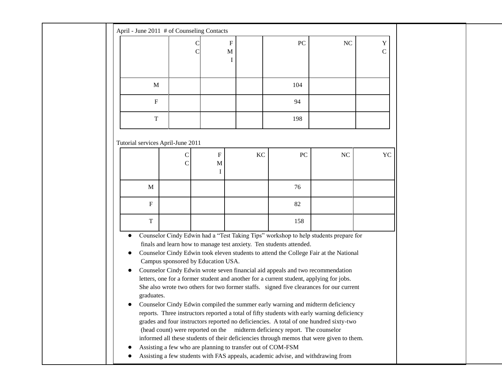| April - June 2011 # of Counseling Contacts                                                                                                                                                                                                                                                                                                                                                                                                                                                                                                                                                                                                                                                                                                                                                                                                                                                                                                                                                                                                                                                                                                                                                               |                    |                                     |           |     |           |                    |  |  |  |
|----------------------------------------------------------------------------------------------------------------------------------------------------------------------------------------------------------------------------------------------------------------------------------------------------------------------------------------------------------------------------------------------------------------------------------------------------------------------------------------------------------------------------------------------------------------------------------------------------------------------------------------------------------------------------------------------------------------------------------------------------------------------------------------------------------------------------------------------------------------------------------------------------------------------------------------------------------------------------------------------------------------------------------------------------------------------------------------------------------------------------------------------------------------------------------------------------------|--------------------|-------------------------------------|-----------|-----|-----------|--------------------|--|--|--|
|                                                                                                                                                                                                                                                                                                                                                                                                                                                                                                                                                                                                                                                                                                                                                                                                                                                                                                                                                                                                                                                                                                                                                                                                          |                    | $\boldsymbol{\mathrm{F}}$<br>M<br>I |           | PC  | <b>NC</b> | Y<br>$\mathcal{C}$ |  |  |  |
| M                                                                                                                                                                                                                                                                                                                                                                                                                                                                                                                                                                                                                                                                                                                                                                                                                                                                                                                                                                                                                                                                                                                                                                                                        |                    |                                     |           | 104 |           |                    |  |  |  |
| $\mathbf F$                                                                                                                                                                                                                                                                                                                                                                                                                                                                                                                                                                                                                                                                                                                                                                                                                                                                                                                                                                                                                                                                                                                                                                                              |                    |                                     |           | 94  |           |                    |  |  |  |
| $\mathbf T$                                                                                                                                                                                                                                                                                                                                                                                                                                                                                                                                                                                                                                                                                                                                                                                                                                                                                                                                                                                                                                                                                                                                                                                              |                    |                                     |           | 198 |           |                    |  |  |  |
| Tutorial services April-June 2011                                                                                                                                                                                                                                                                                                                                                                                                                                                                                                                                                                                                                                                                                                                                                                                                                                                                                                                                                                                                                                                                                                                                                                        |                    |                                     |           |     |           |                    |  |  |  |
|                                                                                                                                                                                                                                                                                                                                                                                                                                                                                                                                                                                                                                                                                                                                                                                                                                                                                                                                                                                                                                                                                                                                                                                                          | С<br>$\mathcal{C}$ | $\mathbf F$<br>M<br>I               | <b>KC</b> | PC  | NC        | YC                 |  |  |  |
| M                                                                                                                                                                                                                                                                                                                                                                                                                                                                                                                                                                                                                                                                                                                                                                                                                                                                                                                                                                                                                                                                                                                                                                                                        |                    |                                     |           | 76  |           |                    |  |  |  |
| $\mathbf F$                                                                                                                                                                                                                                                                                                                                                                                                                                                                                                                                                                                                                                                                                                                                                                                                                                                                                                                                                                                                                                                                                                                                                                                              |                    |                                     |           | 82  |           |                    |  |  |  |
| $\mathbf T$                                                                                                                                                                                                                                                                                                                                                                                                                                                                                                                                                                                                                                                                                                                                                                                                                                                                                                                                                                                                                                                                                                                                                                                              |                    |                                     |           | 158 |           |                    |  |  |  |
| Counselor Cindy Edwin had a "Test Taking Tips" workshop to help students prepare for<br>$\bullet$<br>finals and learn how to manage test anxiety. Ten students attended.<br>Counselor Cindy Edwin took eleven students to attend the College Fair at the National<br>Campus sponsored by Education USA.<br>Counselor Cindy Edwin wrote seven financial aid appeals and two recommendation<br>letters, one for a former student and another for a current student, applying for jobs.<br>She also wrote two others for two former staffs. signed five clearances for our current<br>graduates.<br>Counselor Cindy Edwin compiled the summer early warning and midterm deficiency<br>reports. Three instructors reported a total of fifty students with early warning deficiency<br>grades and four instructors reported no deficiencies. A total of one hundred sixty-two<br>(head count) were reported on the<br>midterm deficiency report. The counselor<br>informed all these students of their deficiencies through memos that were given to them.<br>Assisting a few who are planning to transfer out of COM-FSM<br>Assisting a few students with FAS appeals, academic advise, and withdrawing from |                    |                                     |           |     |           |                    |  |  |  |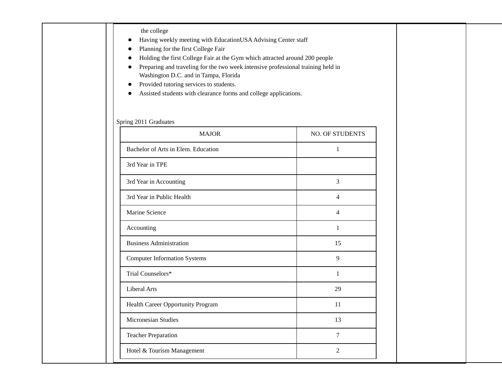| Washington D.C. and in Tampa, Florida<br>Provided tutoring services to students. | Preparing and traveling for the two week intensive professional training held in |
|----------------------------------------------------------------------------------|----------------------------------------------------------------------------------|
| Assisted students with clearance forms and college applications.                 |                                                                                  |
| Spring 2011 Graduates                                                            |                                                                                  |
| <b>MAJOR</b>                                                                     | NO. OF STUDENTS                                                                  |
| Bachelor of Arts in Elem. Education                                              | $\mathbf{1}$                                                                     |
| 3rd Year in TPE                                                                  |                                                                                  |
| 3rd Year in Accounting                                                           | 3                                                                                |
| 3rd Year in Public Health                                                        | $\overline{4}$                                                                   |
| Marine Science                                                                   | $\overline{4}$                                                                   |
| Accounting                                                                       | 1                                                                                |
| <b>Business Administration</b>                                                   | 15                                                                               |
| <b>Computer Information Systems</b>                                              | 9                                                                                |
| Trial Counselors*                                                                | 1                                                                                |
| Liberal Arts                                                                     | 29                                                                               |
| Health Career Opportunity Program                                                | 11                                                                               |
| Micronesian Studies                                                              | 13                                                                               |
| <b>Teacher Preparation</b>                                                       | $\overline{7}$                                                                   |
| Hotel & Tourism Management                                                       | $\overline{2}$                                                                   |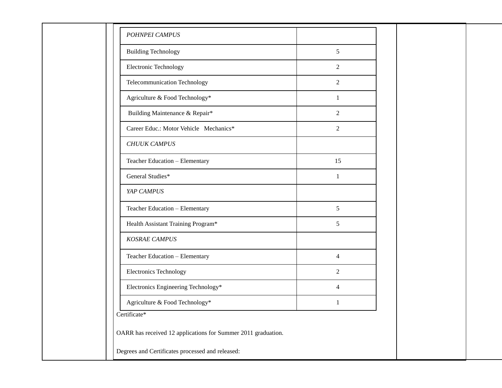| <b>Building Technology</b>             | 5              |  |
|----------------------------------------|----------------|--|
| <b>Electronic Technology</b>           | 2              |  |
| Telecommunication Technology           | 2              |  |
| Agriculture & Food Technology*         | 1              |  |
| Building Maintenance & Repair*         | $\overline{c}$ |  |
| Career Educ.: Motor Vehicle Mechanics* | 2              |  |
| <b>CHUUK CAMPUS</b>                    |                |  |
| Teacher Education - Elementary         | 15             |  |
| General Studies*                       | $\mathbf{1}$   |  |
| YAP CAMPUS                             |                |  |
| Teacher Education - Elementary         | 5              |  |
| Health Assistant Training Program*     | 5              |  |
| <b>KOSRAE CAMPUS</b>                   |                |  |
| Teacher Education - Elementary         | $\overline{4}$ |  |
| Electronics Technology                 | 2              |  |
| Electronics Engineering Technology*    | 4              |  |
| Agriculture & Food Technology*         | 1              |  |
| Certificate*                           |                |  |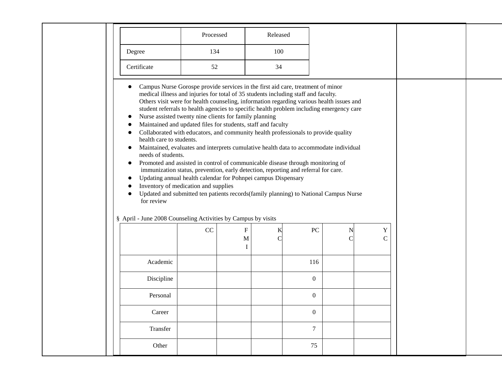|                                                                                        | Processed                                                                                                                                                                                                                                                                                                                                                                                                                                                                                                                                                                                                                                                                                                                                                                                                                                                                                                                                                                                                                                                                                                        |                               | Released         |                    |                             |  |
|----------------------------------------------------------------------------------------|------------------------------------------------------------------------------------------------------------------------------------------------------------------------------------------------------------------------------------------------------------------------------------------------------------------------------------------------------------------------------------------------------------------------------------------------------------------------------------------------------------------------------------------------------------------------------------------------------------------------------------------------------------------------------------------------------------------------------------------------------------------------------------------------------------------------------------------------------------------------------------------------------------------------------------------------------------------------------------------------------------------------------------------------------------------------------------------------------------------|-------------------------------|------------------|--------------------|-----------------------------|--|
| Degree                                                                                 | 134                                                                                                                                                                                                                                                                                                                                                                                                                                                                                                                                                                                                                                                                                                                                                                                                                                                                                                                                                                                                                                                                                                              |                               | 100              |                    |                             |  |
| Certificate                                                                            | 52                                                                                                                                                                                                                                                                                                                                                                                                                                                                                                                                                                                                                                                                                                                                                                                                                                                                                                                                                                                                                                                                                                               |                               | 34               |                    |                             |  |
| $\bullet$<br>$\bullet$<br>health care to students.<br>needs of students.<br>for review | Campus Nurse Gorospe provide services in the first aid care, treatment of minor<br>medical illness and injuries for total of 35 students including staff and faculty.<br>Others visit were for health counseling, information regarding various health issues and<br>student referrals to health agencies to specific health problem including emergency care<br>Nurse assisted twenty nine clients for family planning<br>Maintained and updated files for students, staff and faculty<br>Collaborated with educators, and community health professionals to provide quality<br>Maintained, evaluates and interprets cumulative health data to accommodate individual<br>Promoted and assisted in control of communicable disease through monitoring of<br>immunization status, prevention, early detection, reporting and referral for care.<br>Updating annual health calendar for Pohnpei campus Dispensary<br>Inventory of medication and supplies<br>Updated and submitted ten patients records(family planning) to National Campus Nurse<br>§ April - June 2008 Counseling Activities by Campus by visits |                               |                  |                    |                             |  |
|                                                                                        |                                                                                                                                                                                                                                                                                                                                                                                                                                                                                                                                                                                                                                                                                                                                                                                                                                                                                                                                                                                                                                                                                                                  |                               |                  |                    |                             |  |
|                                                                                        | CC                                                                                                                                                                                                                                                                                                                                                                                                                                                                                                                                                                                                                                                                                                                                                                                                                                                                                                                                                                                                                                                                                                               | ${\bf F}$<br>$\mathbf M$<br>T | PC<br>K          | N<br>$\mathcal{C}$ | $\mathbf Y$<br>$\mathsf{C}$ |  |
| Academic                                                                               |                                                                                                                                                                                                                                                                                                                                                                                                                                                                                                                                                                                                                                                                                                                                                                                                                                                                                                                                                                                                                                                                                                                  |                               | 116              |                    |                             |  |
| Discipline                                                                             |                                                                                                                                                                                                                                                                                                                                                                                                                                                                                                                                                                                                                                                                                                                                                                                                                                                                                                                                                                                                                                                                                                                  |                               | $\overline{0}$   |                    |                             |  |
| Personal                                                                               |                                                                                                                                                                                                                                                                                                                                                                                                                                                                                                                                                                                                                                                                                                                                                                                                                                                                                                                                                                                                                                                                                                                  |                               | $\mathbf{0}$     |                    |                             |  |
| Career                                                                                 |                                                                                                                                                                                                                                                                                                                                                                                                                                                                                                                                                                                                                                                                                                                                                                                                                                                                                                                                                                                                                                                                                                                  |                               | $\boldsymbol{0}$ |                    |                             |  |
| Transfer                                                                               |                                                                                                                                                                                                                                                                                                                                                                                                                                                                                                                                                                                                                                                                                                                                                                                                                                                                                                                                                                                                                                                                                                                  |                               | $\overline{7}$   |                    |                             |  |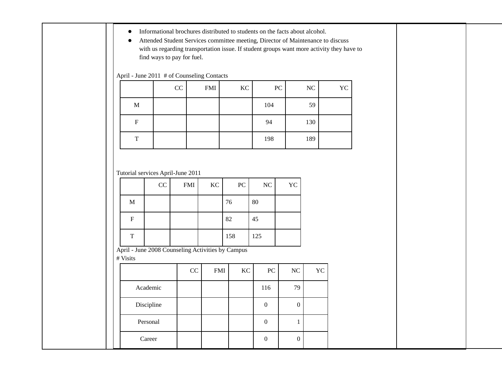- Informational brochures distributed to students on the facts about alcohol.
- Attended Student Services committee meeting, Director of Maintenance to discuss with us regarding transportation issue. If student groups want more activity they have to find ways to pay for fuel.

### April - June 2011 # of Counseling Contacts

|   | CC | <b>FMI</b> | KC | PC  | NC  | YC |
|---|----|------------|----|-----|-----|----|
| M |    |            |    | 104 | 59  |    |
| F |    |            |    | 94  | 130 |    |
| T |    |            |    | 198 | 189 |    |

Tutorial services April-June 2011

|             | CC | $\mathop{\rm FMI}\nolimits$ | $\rm KC$ | PC  | NC  | YC |
|-------------|----|-----------------------------|----------|-----|-----|----|
| $\mathbf M$ |    |                             |          | 76  | 80  |    |
| F           |    |                             |          | 82  | 45  |    |
| T           |    |                             |          | 158 | 125 |    |

April - June 2008 Counseling Activities by Campus

# Visits

|            | CC | <b>FMI</b> | KC | PC  | NC | YC |
|------------|----|------------|----|-----|----|----|
| Academic   |    |            |    | 116 | 79 |    |
| Discipline |    |            |    |     |    |    |
| Personal   |    |            |    |     |    |    |
| Career     |    |            |    |     | 0  |    |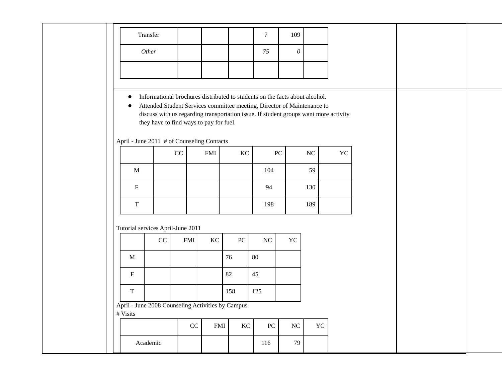|             | Transfer                  |                                                                                       |            |            |                                                                                                                                                                                                                                                | $\overline{7}$ | 109              |           |           |
|-------------|---------------------------|---------------------------------------------------------------------------------------|------------|------------|------------------------------------------------------------------------------------------------------------------------------------------------------------------------------------------------------------------------------------------------|----------------|------------------|-----------|-----------|
|             | Other                     |                                                                                       |            |            |                                                                                                                                                                                                                                                | 75             | $\theta$         |           |           |
|             |                           |                                                                                       |            |            |                                                                                                                                                                                                                                                |                |                  |           |           |
| $\bullet$   |                           | they have to find ways to pay for fuel.<br>April - June 2011 # of Counseling Contacts |            |            | Informational brochures distributed to students on the facts about alcohol.<br>Attended Student Services committee meeting, Director of Maintenance to<br>discuss with us regarding transportation issue. If student groups want more activity |                |                  |           |           |
|             |                           |                                                                                       | $\rm CC$   | <b>FMI</b> | $\rm KC$                                                                                                                                                                                                                                       |                | ${\bf P}{\bf C}$ | NC        | <b>YC</b> |
|             | $\mathbf{M}$              |                                                                                       |            |            |                                                                                                                                                                                                                                                | 104            |                  | 59        |           |
|             | $\boldsymbol{\mathrm{F}}$ |                                                                                       |            |            |                                                                                                                                                                                                                                                | 94             |                  | 130       |           |
|             | $\rm T$                   |                                                                                       |            |            |                                                                                                                                                                                                                                                | 198            |                  | 189       |           |
|             |                           | Tutorial services April-June 2011                                                     |            |            |                                                                                                                                                                                                                                                |                |                  |           |           |
|             |                           | CC                                                                                    | <b>FMI</b> | KC         | ${\rm P}{\bf C}$                                                                                                                                                                                                                               | NC             | YC               |           |           |
|             | M                         |                                                                                       |            |            | 76                                                                                                                                                                                                                                             | 80             |                  |           |           |
| ${\bf F}$   |                           |                                                                                       |            |            | 82                                                                                                                                                                                                                                             | 45             |                  |           |           |
| $\mathbf T$ |                           |                                                                                       |            |            | 158                                                                                                                                                                                                                                            | 125            |                  |           |           |
| # Visits    |                           |                                                                                       |            |            | April - June 2008 Counseling Activities by Campus                                                                                                                                                                                              |                |                  |           |           |
|             |                           |                                                                                       | CC         | <b>FMI</b> | KC                                                                                                                                                                                                                                             | PC             | NC               | <b>YC</b> |           |
|             | Academic                  |                                                                                       |            |            |                                                                                                                                                                                                                                                | 116            | 79               |           |           |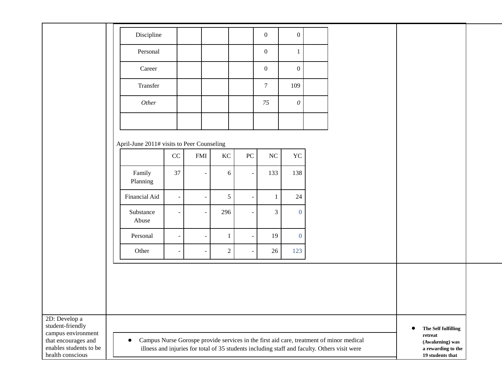|                                                                                                                              | Discipline                                 |                          |                          |                |                          | $\overline{0}$   | $\overline{0}$ |                                                                                                                                                                                         |                                   |                                                                                  |  |
|------------------------------------------------------------------------------------------------------------------------------|--------------------------------------------|--------------------------|--------------------------|----------------|--------------------------|------------------|----------------|-----------------------------------------------------------------------------------------------------------------------------------------------------------------------------------------|-----------------------------------|----------------------------------------------------------------------------------|--|
|                                                                                                                              | Personal                                   |                          |                          |                |                          | $\overline{0}$   | $\mathbf{1}$   |                                                                                                                                                                                         |                                   |                                                                                  |  |
|                                                                                                                              | Career                                     |                          |                          |                |                          | $\boldsymbol{0}$ | $\mathbf{0}$   |                                                                                                                                                                                         |                                   |                                                                                  |  |
|                                                                                                                              | Transfer                                   |                          |                          |                |                          | $\boldsymbol{7}$ | 109            |                                                                                                                                                                                         |                                   |                                                                                  |  |
|                                                                                                                              | Other                                      |                          |                          |                |                          | 75               | $\mathcal O$   |                                                                                                                                                                                         |                                   |                                                                                  |  |
|                                                                                                                              |                                            |                          |                          |                |                          |                  |                |                                                                                                                                                                                         |                                   |                                                                                  |  |
|                                                                                                                              | April-June 2011# visits to Peer Counseling |                          |                          |                |                          |                  |                |                                                                                                                                                                                         |                                   |                                                                                  |  |
|                                                                                                                              |                                            | $\rm CC$                 | <b>FMI</b>               | $\rm KC$       | ${\rm P}{\bf C}$         | NC               | YC             |                                                                                                                                                                                         |                                   |                                                                                  |  |
|                                                                                                                              | Family<br>Planning                         | 37                       | $\blacksquare$           | 6              | $\blacksquare$           | 133              | 138            |                                                                                                                                                                                         |                                   |                                                                                  |  |
|                                                                                                                              | Financial Aid                              | $\sim$                   |                          | $\sqrt{5}$     |                          | $\mathbf{1}$     | 24             |                                                                                                                                                                                         |                                   |                                                                                  |  |
|                                                                                                                              | Substance<br>Abuse                         | $\overline{\phantom{a}}$ |                          | 296            |                          | $\mathfrak{Z}$   | $\mathbf{0}$   |                                                                                                                                                                                         |                                   |                                                                                  |  |
|                                                                                                                              | Personal                                   | $\sim$                   | $\overline{\phantom{a}}$ | $\mathbf{1}$   | $\overline{\phantom{m}}$ | 19               | $\mathbf{0}$   |                                                                                                                                                                                         |                                   |                                                                                  |  |
|                                                                                                                              | Other                                      | $\sim$                   | $\overline{\phantom{a}}$ | $\overline{2}$ | $\blacksquare$           | 26               | 123            |                                                                                                                                                                                         |                                   |                                                                                  |  |
|                                                                                                                              |                                            |                          |                          |                |                          |                  |                |                                                                                                                                                                                         |                                   |                                                                                  |  |
|                                                                                                                              |                                            |                          |                          |                |                          |                  |                |                                                                                                                                                                                         |                                   |                                                                                  |  |
|                                                                                                                              |                                            |                          |                          |                |                          |                  |                |                                                                                                                                                                                         |                                   |                                                                                  |  |
| 2D: Develop a<br>student-friendly<br>campus environment<br>that encourages and<br>enables students to be<br>health conscious | $\bullet$                                  |                          |                          |                |                          |                  |                | Campus Nurse Gorospe provide services in the first aid care, treatment of minor medical<br>illness and injuries for total of 35 students including staff and faculty. Others visit were | $\operatorname{\mathbf{retract}}$ | The Self fulfilling<br>(Awakening) was<br>a rewarding to the<br>19 students that |  |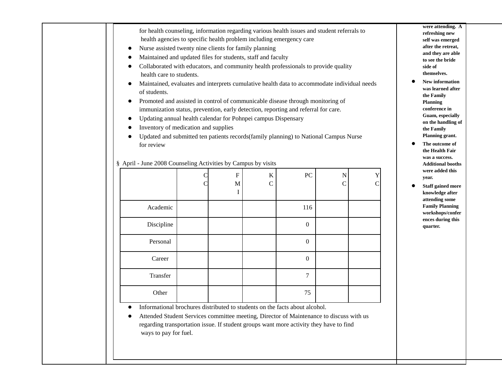| Maintained and updated files for students, staff and faculty<br>Collaborated with educators, and community health professionals to provide quality |   |   |               |                                                                                      |               |                |  |  |
|----------------------------------------------------------------------------------------------------------------------------------------------------|---|---|---------------|--------------------------------------------------------------------------------------|---------------|----------------|--|--|
| health care to students.                                                                                                                           |   |   |               |                                                                                      |               |                |  |  |
| Maintained, evaluates and interprets cumulative health data to accommodate individual needs                                                        |   |   |               |                                                                                      |               |                |  |  |
| of students.                                                                                                                                       |   |   |               |                                                                                      |               |                |  |  |
|                                                                                                                                                    |   |   |               | Promoted and assisted in control of communicable disease through monitoring of       |               |                |  |  |
| Updating annual health calendar for Pohnpei campus Dispensary                                                                                      |   |   |               | immunization status, prevention, early detection, reporting and referral for care.   |               |                |  |  |
| Inventory of medication and supplies                                                                                                               |   |   |               |                                                                                      |               |                |  |  |
|                                                                                                                                                    |   |   |               | Updated and submitted ten patients records(family planning) to National Campus Nurse |               |                |  |  |
| for review                                                                                                                                         |   |   |               |                                                                                      |               |                |  |  |
|                                                                                                                                                    |   |   |               |                                                                                      |               |                |  |  |
| § April - June 2008 Counseling Activities by Campus by visits                                                                                      |   |   |               |                                                                                      |               |                |  |  |
| $\overline{F}$<br>PC<br>K<br>N<br>Y<br>C                                                                                                           |   |   |               |                                                                                      |               |                |  |  |
|                                                                                                                                                    |   |   |               |                                                                                      |               |                |  |  |
|                                                                                                                                                    | C | М | $\mathcal{C}$ |                                                                                      | $\mathcal{C}$ | $\overline{C}$ |  |  |
|                                                                                                                                                    |   | I |               |                                                                                      |               |                |  |  |
| Academic                                                                                                                                           |   |   |               | 116                                                                                  |               |                |  |  |
| Discipline                                                                                                                                         |   |   |               | $\Omega$                                                                             |               |                |  |  |
| Personal                                                                                                                                           |   |   |               | $\overline{0}$                                                                       |               |                |  |  |
| Career                                                                                                                                             |   |   |               | $\overline{0}$                                                                       |               |                |  |  |
| Transfer                                                                                                                                           |   |   |               | $\tau$                                                                               |               |                |  |  |

**were attending. A refreshing new self was emerged after the retreat, and they are able to see the bride side of themselves.**

- **New information was learned after the Family Planning conference in Guam, especially on the handling of the Family Planning grant.**
- **The outcome of the Health Fair was a success. Additional booths were added this year.**
- **Staff gained more knowledge after attending some Family Planning workshops/confer ences during this quarter.**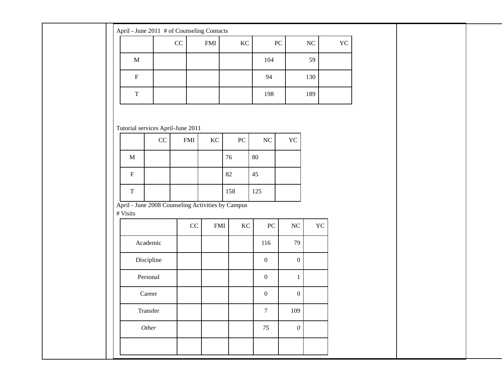| $\rm KC$<br>${\rm P}{\bf C}$<br>$\rm NC$<br>${\rm YC}$<br>$\rm CC$<br>$\mathop{\rm FMI}\nolimits$<br>$\mathbf M$<br>104<br>59<br>$\boldsymbol{\mathrm{F}}$<br>94<br>130<br>$\mathbf T$<br>198<br>189 |
|------------------------------------------------------------------------------------------------------------------------------------------------------------------------------------------------------|
|                                                                                                                                                                                                      |
|                                                                                                                                                                                                      |
|                                                                                                                                                                                                      |
|                                                                                                                                                                                                      |
| Tutorial services April-June 2011                                                                                                                                                                    |
| $\rm CC$<br>${\rm P}{\bf C}$<br>$\rm NC$<br>${\rm YC}$<br>$\mathop{\rm FMI}\nolimits$<br>$\rm KC$                                                                                                    |
| 80<br>$\mathbf M$<br>76                                                                                                                                                                              |
| 82<br>$\mathbf F$<br>45                                                                                                                                                                              |
| $\rm T$<br>158<br>125                                                                                                                                                                                |
| April - June 2008 Counseling Activities by Campus<br># Visits                                                                                                                                        |
| ${\rm P}{\bf C}$<br>$\rm NC$<br>$\rm CC$<br>$\mathop{\rm FMI}\nolimits$<br>$\rm KC$<br>YC                                                                                                            |
| 79<br>Academic<br>116                                                                                                                                                                                |
| Discipline<br>$\boldsymbol{0}$<br>$\boldsymbol{0}$                                                                                                                                                   |
| Personal<br>$\boldsymbol{0}$<br>$\mathbf{1}$                                                                                                                                                         |
| Career<br>$\boldsymbol{0}$<br>$\boldsymbol{0}$                                                                                                                                                       |
| Transfer<br>109<br>$\boldsymbol{7}$                                                                                                                                                                  |
| Other<br>$75\,$<br>$\boldsymbol{\theta}$                                                                                                                                                             |
|                                                                                                                                                                                                      |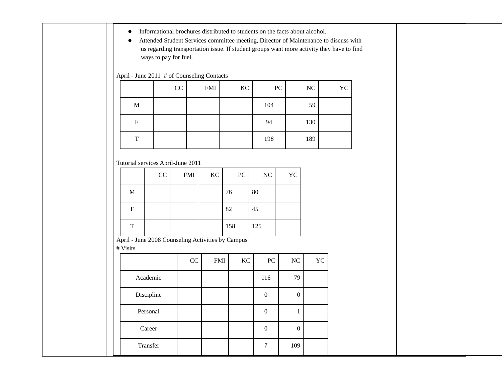- Informational brochures distributed to students on the facts about alcohol.
- Attended Student Services committee meeting, Director of Maintenance to discuss with us regarding transportation issue. If student groups want more activity they have to find ways to pay for fuel.

April - June 2011 # of Counseling Contacts

|             | CC | <b>FMI</b> | KC | PC  | NC  | YC |
|-------------|----|------------|----|-----|-----|----|
| $\mathbf M$ |    |            |    | 104 | 59  |    |
| F           |    |            |    | 94  | 130 |    |
| T           |    |            |    | 198 | 189 |    |

Tutorial services April-June 2011

| $\mathbf M$<br>${\bf F}$ | CC | <b>FMI</b>                                   | KC | 76  | $\rm{PC}$  | NC                                                | <b>YC</b>        |    |
|--------------------------|----|----------------------------------------------|----|-----|------------|---------------------------------------------------|------------------|----|
|                          |    |                                              |    |     |            |                                                   |                  |    |
|                          |    |                                              |    |     |            | 80                                                |                  |    |
|                          |    |                                              |    | 82  |            | 45                                                |                  |    |
| $\overline{T}$           |    |                                              |    | 158 |            | 125                                               |                  |    |
| # Visits                 |    |                                              |    |     |            |                                                   |                  |    |
|                          |    |                                              |    |     |            | PC                                                | $\rm NC$         | YC |
|                          |    |                                              |    |     |            | 116                                               | 79               |    |
|                          |    |                                              |    |     |            | $\boldsymbol{0}$                                  | $\boldsymbol{0}$ |    |
| Personal                 |    |                                              |    |     |            | $\boldsymbol{0}$                                  | $\mathbf{1}$     |    |
|                          |    |                                              |    |     |            | $\boldsymbol{0}$                                  | $\boldsymbol{0}$ |    |
|                          |    |                                              |    |     |            | $\tau$                                            | 109              |    |
|                          |    | Academic<br>Discipline<br>Career<br>Transfer |    | CC  | <b>FMI</b> | April - June 2008 Counseling Activities by Campus | $\rm KC$         |    |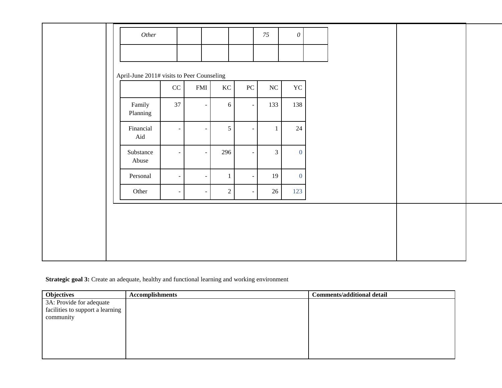|                    | Other                                      |                   |                |                          | 75             | $\boldsymbol{\mathit{0}}$ |  |
|--------------------|--------------------------------------------|-------------------|----------------|--------------------------|----------------|---------------------------|--|
|                    | April-June 2011# visits to Peer Counseling |                   |                |                          |                |                           |  |
|                    | $\rm CC$                                   | FMI               | KC             | PC                       | $\rm NC$       | YC                        |  |
| Family<br>Planning | 37                                         | $\qquad \qquad -$ | $6\,$          | $\overline{\phantom{a}}$ | 133            | 138                       |  |
| Financial<br>Aid   |                                            |                   | $\mathfrak{S}$ | $\sim$                   | $\mathbf{1}$   | 24                        |  |
| Substance<br>Abuse |                                            | $\sim$            | 296            |                          | $\mathfrak{Z}$ | $\overline{0}$            |  |
| Personal           |                                            | $\sim$<br>$\sim$  |                | $\sim$                   | 19             | $\overline{0}$            |  |
| Other              |                                            |                   | $\overline{2}$ | $\overline{\phantom{a}}$ | 26             | 123                       |  |

## **Strategic goal 3:** Create an adequate, healthy and functional learning and working environment

| <b>Objectives</b>                | <b>Accomplishments</b> | <b>Comments/additional detail</b> |
|----------------------------------|------------------------|-----------------------------------|
| 3A: Provide for adequate         |                        |                                   |
| facilities to support a learning |                        |                                   |
| community                        |                        |                                   |
|                                  |                        |                                   |
|                                  |                        |                                   |
|                                  |                        |                                   |
|                                  |                        |                                   |
|                                  |                        |                                   |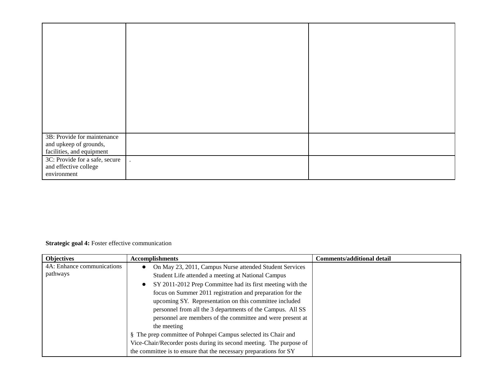| 3B: Provide for maintenance<br>and upkeep of grounds,<br>facilities, and equipment |  |
|------------------------------------------------------------------------------------|--|
| 3C: Provide for a safe, secure<br>and effective college<br>environment             |  |

## **Strategic goal 4:** Foster effective communication

| <b>Objectives</b>          | <b>Accomplishments</b>                                              | <b>Comments/additional detail</b> |
|----------------------------|---------------------------------------------------------------------|-----------------------------------|
| 4A: Enhance communications | On May 23, 2011, Campus Nurse attended Student Services             |                                   |
| pathways                   | Student Life attended a meeting at National Campus                  |                                   |
|                            | SY 2011-2012 Prep Committee had its first meeting with the          |                                   |
|                            | focus on Summer 2011 registration and preparation for the           |                                   |
|                            | upcoming SY. Representation on this committee included              |                                   |
|                            | personnel from all the 3 departments of the Campus. All SS          |                                   |
|                            | personnel are members of the committee and were present at          |                                   |
|                            | the meeting                                                         |                                   |
|                            | § The prep committee of Pohnpei Campus selected its Chair and       |                                   |
|                            | Vice-Chair/Recorder posts during its second meeting. The purpose of |                                   |
|                            | the committee is to ensure that the necessary preparations for SY   |                                   |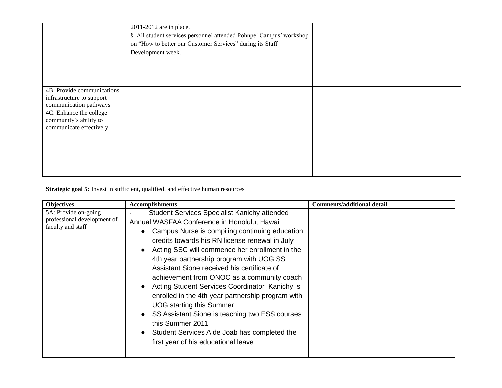|                                                                                   | 2011-2012 are in place.<br>§ All student services personnel attended Pohnpei Campus' workshop<br>on "How to better our Customer Services" during its Staff<br>Development week. |  |
|-----------------------------------------------------------------------------------|---------------------------------------------------------------------------------------------------------------------------------------------------------------------------------|--|
| 4B: Provide communications<br>infrastructure to support<br>communication pathways |                                                                                                                                                                                 |  |
| 4C: Enhance the college<br>community's ability to<br>communicate effectively      |                                                                                                                                                                                 |  |

**Strategic goal 5:** Invest in sufficient, qualified, and effective human resources

| <b>Objectives</b>                                                        | <b>Accomplishments</b>                                                                                                                                                                                                                                                                                                                                                                                                                                                                                                                                                                                                                                                                                    | <b>Comments/additional detail</b> |
|--------------------------------------------------------------------------|-----------------------------------------------------------------------------------------------------------------------------------------------------------------------------------------------------------------------------------------------------------------------------------------------------------------------------------------------------------------------------------------------------------------------------------------------------------------------------------------------------------------------------------------------------------------------------------------------------------------------------------------------------------------------------------------------------------|-----------------------------------|
| 5A: Provide on-going<br>professional development of<br>faculty and staff | <b>Student Services Specialist Kanichy attended</b><br>Annual WASFAA Conference in Honolulu, Hawaii<br>Campus Nurse is compiling continuing education<br>credits towards his RN license renewal in July<br>Acting SSC will commence her enrollment in the<br>4th year partnership program with UOG SS<br>Assistant Sione received his certificate of<br>achievement from ONOC as a community coach<br>Acting Student Services Coordinator Kanichy is<br>enrolled in the 4th year partnership program with<br><b>UOG</b> starting this Summer<br>SS Assistant Sione is teaching two ESS courses<br>this Summer 2011<br>Student Services Aide Joab has completed the<br>first year of his educational leave |                                   |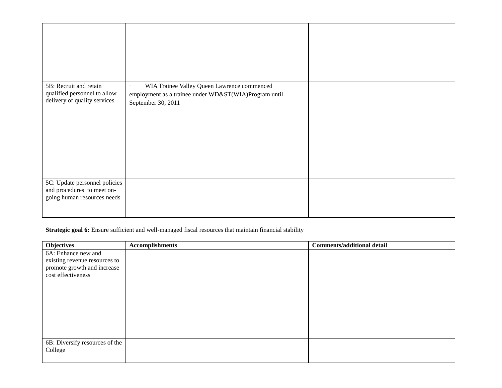| 5B: Recruit and retain<br>qualified personnel to allow<br>delivery of quality services     | WIA Trainee Valley Queen Lawrence commenced<br>$\bullet$<br>employment as a trainee under WD&ST(WIA)Program until<br>September 30, 2011 |  |
|--------------------------------------------------------------------------------------------|-----------------------------------------------------------------------------------------------------------------------------------------|--|
| 5C: Update personnel policies<br>and procedures to meet on-<br>going human resources needs |                                                                                                                                         |  |

## **Strategic goal 6:** Ensure sufficient and well-managed fiscal resources that maintain financial stability

| <b>Objectives</b>              | <b>Accomplishments</b> | <b>Comments/additional detail</b> |
|--------------------------------|------------------------|-----------------------------------|
| 6A: Enhance new and            |                        |                                   |
| existing revenue resources to  |                        |                                   |
| promote growth and increase    |                        |                                   |
| cost effectiveness             |                        |                                   |
|                                |                        |                                   |
|                                |                        |                                   |
|                                |                        |                                   |
|                                |                        |                                   |
|                                |                        |                                   |
|                                |                        |                                   |
|                                |                        |                                   |
|                                |                        |                                   |
| 6B: Diversify resources of the |                        |                                   |
| College                        |                        |                                   |
|                                |                        |                                   |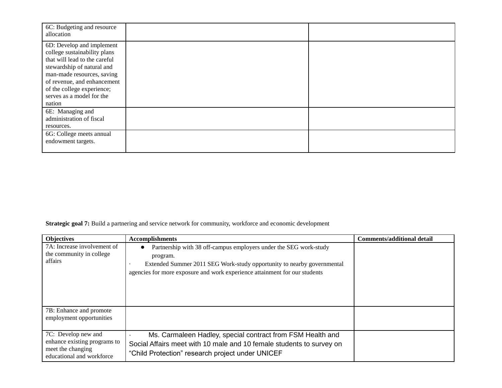| 6C: Budgeting and resource<br>allocation                                                                                                                                                                                                                   |  |
|------------------------------------------------------------------------------------------------------------------------------------------------------------------------------------------------------------------------------------------------------------|--|
| 6D: Develop and implement<br>college sustainability plans<br>that will lead to the careful<br>stewardship of natural and<br>man-made resources, saving<br>of revenue, and enhancement<br>of the college experience;<br>serves as a model for the<br>nation |  |
| 6E: Managing and<br>administration of fiscal<br>resources.                                                                                                                                                                                                 |  |
| 6G: College meets annual<br>endowment targets.                                                                                                                                                                                                             |  |

**Strategic goal 7:** Build a partnering and service network for community, workforce and economic development

| <b>Objectives</b>                                                                                     | <b>Accomplishments</b>                                                                                                                                                                                                                | <b>Comments/additional detail</b> |
|-------------------------------------------------------------------------------------------------------|---------------------------------------------------------------------------------------------------------------------------------------------------------------------------------------------------------------------------------------|-----------------------------------|
| 7A: Increase involvement of<br>the community in college<br>affairs                                    | Partnership with 38 off-campus employers under the SEG work-study<br>program.<br>Extended Summer 2011 SEG Work-study opportunity to nearby governmental<br>agencies for more exposure and work experience attainment for our students |                                   |
| 7B: Enhance and promote<br>employment opportunities                                                   |                                                                                                                                                                                                                                       |                                   |
| 7C: Develop new and<br>enhance existing programs to<br>meet the changing<br>educational and workforce | Ms. Carmaleen Hadley, special contract from FSM Health and<br>Social Affairs meet with 10 male and 10 female students to survey on<br>"Child Protection" research project under UNICEF                                                |                                   |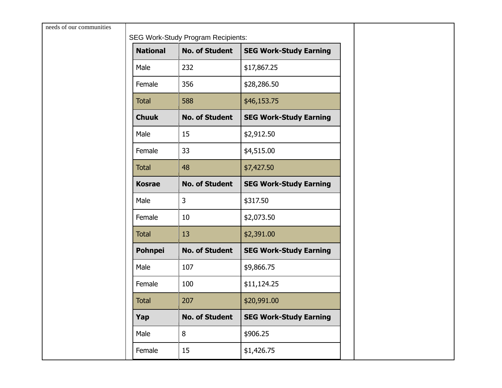| needs of our communities | <b>SEG Work-Study Program Recipients:</b> |                       |                               |  |  |
|--------------------------|-------------------------------------------|-----------------------|-------------------------------|--|--|
|                          | <b>National</b>                           | <b>No. of Student</b> | <b>SEG Work-Study Earning</b> |  |  |
|                          | Male                                      | 232                   | \$17,867.25                   |  |  |
|                          | Female                                    | 356                   | \$28,286.50                   |  |  |
|                          | <b>Total</b>                              | 588                   | \$46,153.75                   |  |  |
|                          | <b>Chuuk</b>                              | <b>No. of Student</b> | <b>SEG Work-Study Earning</b> |  |  |
|                          | Male                                      | 15                    | \$2,912.50                    |  |  |
|                          | Female                                    | 33                    | \$4,515.00                    |  |  |
|                          | <b>Total</b>                              | 48                    | \$7,427.50                    |  |  |
|                          | <b>Kosrae</b>                             | <b>No. of Student</b> | <b>SEG Work-Study Earning</b> |  |  |
|                          | Male                                      | $\mathsf{3}$          | \$317.50                      |  |  |
|                          | Female                                    | 10                    | \$2,073.50                    |  |  |
|                          | <b>Total</b>                              | 13                    | \$2,391.00                    |  |  |
|                          | <b>Pohnpei</b>                            | <b>No. of Student</b> | <b>SEG Work-Study Earning</b> |  |  |
|                          | Male                                      | 107                   | \$9,866.75                    |  |  |
|                          | Female                                    | 100                   | \$11,124.25                   |  |  |
|                          | <b>Total</b>                              | 207                   | \$20,991.00                   |  |  |
|                          | Yap                                       | <b>No. of Student</b> | <b>SEG Work-Study Earning</b> |  |  |
|                          | Male                                      | 8                     | \$906.25                      |  |  |
|                          | Female                                    | 15                    | \$1,426.75                    |  |  |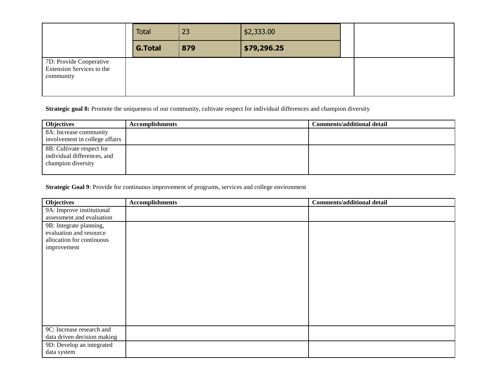|                                                                   | <b>Total</b>   | 23  | \$2,333.00  |  |
|-------------------------------------------------------------------|----------------|-----|-------------|--|
|                                                                   | <b>G.Total</b> | 879 | \$79,296.25 |  |
| 7D: Provide Cooperative<br>Extension Services to the<br>community |                |     |             |  |

**Strategic goal 8:** Promote the uniqueness of our community, cultivate respect for individual differences and champion diversity

| <b>Objectives</b>                                                              | <b>Accomplishments</b> | <b>Comments/additional detail</b> |
|--------------------------------------------------------------------------------|------------------------|-----------------------------------|
| 8A: Increase community<br>involvement in college affairs                       |                        |                                   |
| 8B: Cultivate respect for<br>individual differences, and<br>champion diversity |                        |                                   |

**Strategic Goal 9**: Provide for continuous improvement of programs, services and college environment

| Objectives                  | <b>Accomplishments</b> | <b>Comments/additional detail</b> |
|-----------------------------|------------------------|-----------------------------------|
| 9A: Improve institutional   |                        |                                   |
| assessment and evaluation   |                        |                                   |
| 9B: Integrate planning,     |                        |                                   |
| evaluation and resource     |                        |                                   |
| allocation for continuous   |                        |                                   |
| improvement                 |                        |                                   |
|                             |                        |                                   |
|                             |                        |                                   |
|                             |                        |                                   |
|                             |                        |                                   |
|                             |                        |                                   |
|                             |                        |                                   |
|                             |                        |                                   |
|                             |                        |                                   |
|                             |                        |                                   |
| 9C: Increase research and   |                        |                                   |
| data driven decision making |                        |                                   |
| 9D: Develop an integrated   |                        |                                   |
| data system                 |                        |                                   |